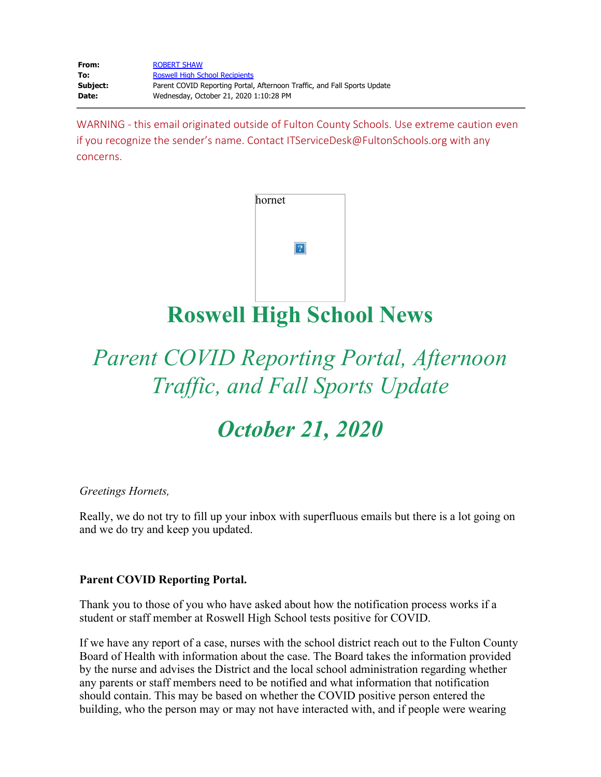| From:    | <b>ROBERT SHAW</b>                                                       |
|----------|--------------------------------------------------------------------------|
| To:      | <b>Roswell High School Recipients</b>                                    |
| Subject: | Parent COVID Reporting Portal, Afternoon Traffic, and Fall Sports Update |
| Date:    | Wednesday, October 21, 2020 1:10:28 PM                                   |

WARNING - this email originated outside of Fulton County Schools. Use extreme caution even if you recognize the sender's name. Contact ITServiceDesk@FultonSchools.org with any concerns.

| hornet |  |
|--------|--|
|        |  |
|        |  |
|        |  |

**Roswell High School News**

# *Parent COVID Reporting Portal, Afternoon Traffic, and Fall Sports Update*

*October 21, 2020*

*Greetings Hornets,*

Really, we do not try to fill up your inbox with superfluous emails but there is a lot going on and we do try and keep you updated.

## **Parent COVID Reporting Portal.**

Thank you to those of you who have asked about how the notification process works if a student or staff member at Roswell High School tests positive for COVID.

If we have any report of a case, nurses with the school district reach out to the Fulton County Board of Health with information about the case. The Board takes the information provided by the nurse and advises the District and the local school administration regarding whether any parents or staff members need to be notified and what information that notification should contain. This may be based on whether the COVID positive person entered the building, who the person may or may not have interacted with, and if people were wearing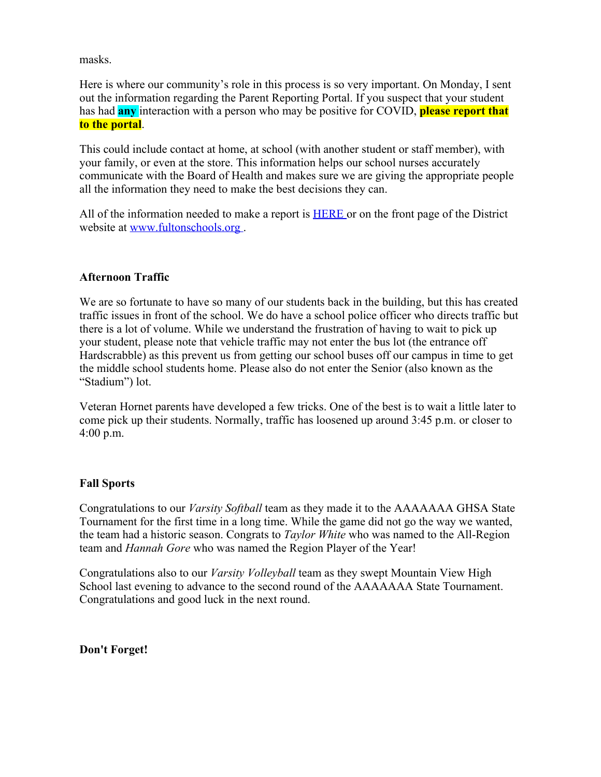masks.

Here is where our community's role in this process is so very important. On Monday, I sent out the information regarding the Parent Reporting Portal. If you suspect that your student has had **any** interaction with a person who may be positive for COVID, **please report that to the portal**.

This could include contact at home, at school (with another student or staff member), with your family, or even at the store. This information helps our school nurses accurately communicate with the Board of Health and makes sure we are giving the appropriate people all the information they need to make the best decisions they can.

All of the information needed to make a report is **[HERE](https://nam03.safelinks.protection.outlook.com/?url=https%3A%2F%2Ffultonschools.az1.qualtrics.com%2Fjfe%2Fform%2FSV_6hWlX46FNk8pNlz&data=04%7C01%7Cmurphys%40fultonschools.org%7C4f316bc5509048a9e1af08d875e43467%7C0cdcb19881694b70ba9fda7e3ba700c2%7C1%7C0%7C637388970276531556%7CUnknown%7CTWFpbGZsb3d8eyJWIjoiMC4wLjAwMDAiLCJQIjoiV2luMzIiLCJBTiI6Ik1haWwiLCJXVCI6Mn0%3D%7C1000&sdata=xAmCJybrn9N8xQy%2B8JLxipo%2BuaTYQLXBu9BNDfR%2BC%2F8%3D&reserved=0)** or on the front page of the District website at [www.fultonschools.org](http://www.fultonschools.org/) .

## **Afternoon Traffic**

We are so fortunate to have so many of our students back in the building, but this has created traffic issues in front of the school. We do have a school police officer who directs traffic but there is a lot of volume. While we understand the frustration of having to wait to pick up your student, please note that vehicle traffic may not enter the bus lot (the entrance off Hardscrabble) as this prevent us from getting our school buses off our campus in time to get the middle school students home. Please also do not enter the Senior (also known as the "Stadium") lot.

Veteran Hornet parents have developed a few tricks. One of the best is to wait a little later to come pick up their students. Normally, traffic has loosened up around 3:45 p.m. or closer to 4:00 p.m.

## **Fall Sports**

Congratulations to our *Varsity Softball* team as they made it to the AAAAAAA GHSA State Tournament for the first time in a long time. While the game did not go the way we wanted, the team had a historic season. Congrats to *Taylor White* who was named to the All-Region team and *Hannah Gore* who was named the Region Player of the Year!

Congratulations also to our *Varsity Volleyball* team as they swept Mountain View High School last evening to advance to the second round of the AAAAAAA State Tournament. Congratulations and good luck in the next round.

## **Don't Forget!**